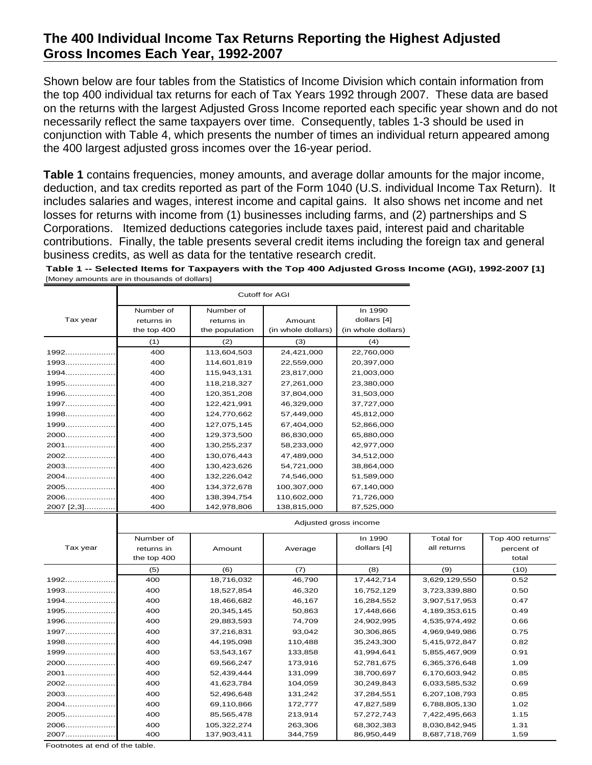Shown below are four tables from the Statistics of Income Division which contain information from the top 400 individual tax returns for each of Tax Years 1992 through 2007. These data are based on the returns with the largest Adjusted Gross Income reported each specific year shown and do not necessarily reflect the same taxpayers over time. Consequently, tables 1-3 should be used in conjunction with Table 4, which presents the number of times an individual return appeared among the 400 largest adjusted gross incomes over the 16-year period.

**Table 1** contains frequencies, money amounts, and average dollar amounts for the major income, deduction, and tax credits reported as part of the Form 1040 (U.S. individual Income Tax Return). It includes salaries and wages, interest income and capital gains. It also shows net income and net losses for returns with income from (1) businesses including farms, and (2) partnerships and S Corporations. Itemized deductions categories include taxes paid, interest paid and charitable contributions. Finally, the table presents several credit items including the foreign tax and general business credits, as well as data for the tentative research credit.

**Table 1 -- Selected Items for Taxpayers with the Top 400 Adjusted Gross Income (AGI), 1992-2007 [1]** [Money amounts are in thousands of dollars]

|            |             |                | <b>Cutoff for AGI</b> |                    |
|------------|-------------|----------------|-----------------------|--------------------|
|            | Number of   | Number of      |                       | In 1990            |
| Tax year   | returns in  | returns in     | Amount                | dollars [4]        |
|            | the top 400 | the population | (in whole dollars)    | (in whole dollars) |
|            | (1)         | (2)            | (3)                   | (4)                |
| $1992$     | 400         | 113,604,503    | 24,421,000            | 22,760,000         |
| $1993$     | 400         | 114,601,819    | 22,559,000            | 20,397,000         |
| $1994$     | 400         | 115,943,131    | 23,817,000            | 21,003,000         |
| $1995$     | 400         | 118,218,327    | 27,261,000            | 23,380,000         |
| $1996$     | 400         | 120,351,208    | 37,804,000            | 31,503,000         |
| $1997$     | 400         | 122,421,991    | 46,329,000            | 37,727,000         |
| $1998$     | 400         | 124,770,662    | 57,449,000            | 45,812,000         |
| 1999       | 400         | 127,075,145    | 67,404,000            | 52,866,000         |
| 2000       | 400         | 129,373,500    | 86,830,000            | 65,880,000         |
| 2001       | 400         | 130,255,237    | 58,233,000            | 42,977,000         |
| 2002       | 400         | 130,076,443    | 47,489,000            | 34,512,000         |
| 2003       | 400         | 130,423,626    | 54,721,000            | 38,864,000         |
| 2004       | 400         | 132,226,042    | 74,546,000            | 51,589,000         |
| 2005       | 400         | 134,372,678    | 100,307,000           | 67,140,000         |
| $2006$     | 400         | 138,394,754    | 110,602,000           | 71,726,000         |
| 2007 [2,3] | 400         | 142,978,806    | 138,815,000           | 87,525,000         |

|          | <b>Aujusted gross income</b> |             |         |             |                  |                  |  |  |  |  |  |
|----------|------------------------------|-------------|---------|-------------|------------------|------------------|--|--|--|--|--|
|          | Number of                    |             |         | In 1990     | <b>Total for</b> | Top 400 returns' |  |  |  |  |  |
| Tax year | returns in                   | Amount      | Average | dollars [4] | all returns      | percent of       |  |  |  |  |  |
|          | the top 400                  |             |         |             |                  | total            |  |  |  |  |  |
|          | (5)                          | (6)         | (7)     | (8)         | (9)              | (10)             |  |  |  |  |  |
| 1992     | 400                          | 18,716,032  | 46,790  | 17,442,714  | 3,629,129,550    | 0.52             |  |  |  |  |  |
| 1993     | 400                          | 18,527,854  | 46,320  | 16,752,129  | 3,723,339,880    | 0.50             |  |  |  |  |  |
| 1994     | 400                          | 18,466,682  | 46,167  | 16,284,552  | 3,907,517,953    | 0.47             |  |  |  |  |  |
| $1995$   | 400                          | 20,345,145  | 50,863  | 17,448,666  | 4,189,353,615    | 0.49             |  |  |  |  |  |
| 1996     | 400                          | 29,883,593  | 74,709  | 24,902,995  | 4,535,974,492    | 0.66             |  |  |  |  |  |
| 1997     | 400                          | 37,216,831  | 93,042  | 30,306,865  | 4,969,949,986    | 0.75             |  |  |  |  |  |
| 1998     | 400                          | 44,195,098  | 110,488 | 35,243,300  | 5,415,972,847    | 0.82             |  |  |  |  |  |
| 1999     | 400                          | 53,543,167  | 133,858 | 41,994,641  | 5,855,467,909    | 0.91             |  |  |  |  |  |
| 2000     | 400                          | 69,566,247  | 173,916 | 52,781,675  | 6,365,376,648    | 1.09             |  |  |  |  |  |
| 2001     | 400                          | 52,439,444  | 131,099 | 38,700,697  | 6,170,603,942    | 0.85             |  |  |  |  |  |
| 2002     | 400                          | 41,623,784  | 104,059 | 30,249,843  | 6,033,585,532    | 0.69             |  |  |  |  |  |
| 2003     | 400                          | 52,496,648  | 131,242 | 37,284,551  | 6,207,108,793    | 0.85             |  |  |  |  |  |
| 2004     | 400                          | 69,110,866  | 172,777 | 47,827,589  | 6,788,805,130    | 1.02             |  |  |  |  |  |
| 2005     | 400                          | 85,565,478  | 213,914 | 57,272,743  | 7,422,495,663    | 1.15             |  |  |  |  |  |
| 2006     | 400                          | 105,322,274 | 263,306 | 68,302,383  | 8,030,842,945    | 1.31             |  |  |  |  |  |
| 2007     | 400                          | 137,903,411 | 344,759 | 86,950,449  | 8,687,718,769    | 1.59             |  |  |  |  |  |

Adjusted gross income

Footnotes at end of the table.

 $\mathbf{I}$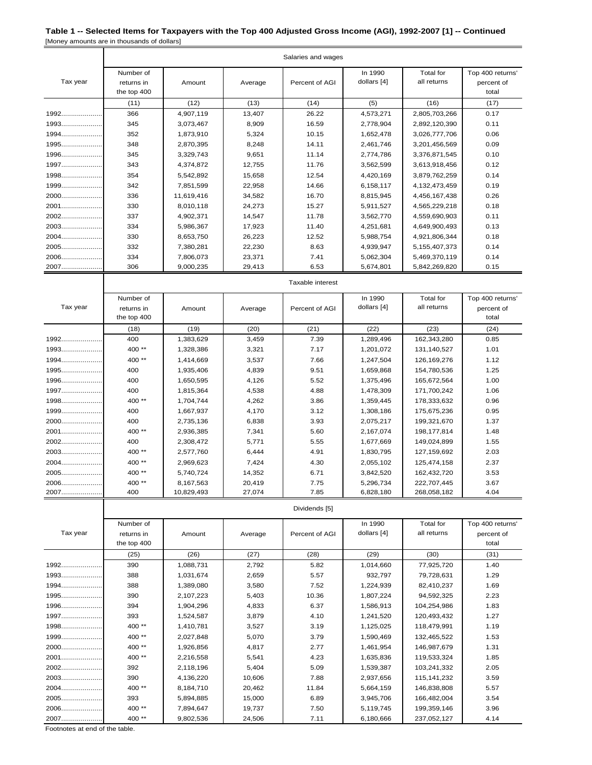|          | Salaries and wages                     |            |         |                |                        |                          |                                         |  |  |
|----------|----------------------------------------|------------|---------|----------------|------------------------|--------------------------|-----------------------------------------|--|--|
| Tax year | Number of<br>returns in<br>the top 400 | Amount     | Average | Percent of AGI | In 1990<br>dollars [4] | Total for<br>all returns | Top 400 returns'<br>percent of<br>total |  |  |
|          | (11)                                   | (12)       | (13)    | (14)           | (5)                    | (16)                     | (17)                                    |  |  |
| 1992     | 366                                    | 4,907,119  | 13,407  | 26.22          | 4,573,271              | 2,805,703,266            | 0.17                                    |  |  |
| 1993     | 345                                    | 3,073,467  | 8,909   | 16.59          | 2,778,904              | 2,892,120,390            | 0.11                                    |  |  |
| $1994$   | 352                                    | 1,873,910  | 5,324   | 10.15          | 1,652,478              | 3,026,777,706            | 0.06                                    |  |  |
| 1995     | 348                                    | 2,870,395  | 8,248   | 14.11          | 2,461,746              | 3,201,456,569            | 0.09                                    |  |  |
| 1996     | 345                                    | 3,329,743  | 9,651   | 11.14          | 2,774,786              | 3,376,871,545            | 0.10                                    |  |  |
| $1997$   | 343                                    | 4,374,872  | 12,755  | 11.76          | 3,562,599              | 3,613,918,456            | 0.12                                    |  |  |
| 1998     | 354                                    | 5,542,892  | 15,658  | 12.54          | 4,420,169              | 3,879,762,259            | 0.14                                    |  |  |
| $1999$   | 342                                    | 7,851,599  | 22,958  | 14.66          | 6,158,117              | 4,132,473,459            | 0.19                                    |  |  |
| 2000     | 336                                    | 11,619,416 | 34,582  | 16.70          | 8,815,945              | 4,456,167,438            | 0.26                                    |  |  |
| 2001     | 330                                    | 8,010,118  | 24,273  | 15.27          | 5,911,527              | 4,565,229,218            | 0.18                                    |  |  |
| 2002     | 337                                    | 4,902,371  | 14,547  | 11.78          | 3,562,770              | 4,559,690,903            | 0.11                                    |  |  |
| $2003$   | 334                                    | 5,986,367  | 17,923  | 11.40          | 4,251,681              | 4,649,900,493            | 0.13                                    |  |  |
| 2004     | 330                                    | 8,653,750  | 26,223  | 12.52          | 5,988,754              | 4,921,806,344            | 0.18                                    |  |  |
| 2005     | 332                                    | 7,380,281  | 22,230  | 8.63           | 4,939,947              | 5, 155, 407, 373         | 0.14                                    |  |  |
| 2006     | 334                                    | 7,806,073  | 23,371  | 7.41           | 5,062,304              | 5.469.370.119            | 0.14                                    |  |  |
| 2007     | 306                                    | 9,000,235  | 29,413  | 6.53           | 5,674,801              | 5,842,269,820            | 0.15                                    |  |  |

| Tax year | Number of<br>returns in<br>the top 400 | Amount     | Average | Percent of AGI | In 1990<br>dollars [4] | Total for<br>all returns | Top 400 returns'<br>percent of<br>total |
|----------|----------------------------------------|------------|---------|----------------|------------------------|--------------------------|-----------------------------------------|
|          | (18)                                   | (19)       | (20)    | (21)           | (22)                   | (23)                     | (24)                                    |
| 1992     | 400                                    | 1,383,629  | 3,459   | 7.39           | 1,289,496              | 162,343,280              | 0.85                                    |
| 1993     | 400**                                  | 1,328,386  | 3,321   | 7.17           | 1,201,072              | 131,140,527              | 1.01                                    |
| $1994$   | 400**                                  | 1,414,669  | 3,537   | 7.66           | 1,247,504              | 126,169,276              | 1.12                                    |
| 1995     | 400                                    | 1,935,406  | 4,839   | 9.51           | 1,659,868              | 154,780,536              | 1.25                                    |
| 1996     | 400                                    | 1,650,595  | 4,126   | 5.52           | 1,375,496              | 165,672,564              | 1.00                                    |
| 1997     | 400                                    | 1,815,364  | 4,538   | 4.88           | 1,478,309              | 171,700,242              | 1.06                                    |
| 1998     | 400**                                  | 1,704,744  | 4,262   | 3.86           | 1,359,445              | 178,333,632              | 0.96                                    |
| 1999     | 400                                    | 1,667,937  | 4,170   | 3.12           | 1,308,186              | 175,675,236              | 0.95                                    |
| 2000     | 400                                    | 2,735,136  | 6,838   | 3.93           | 2,075,217              | 199,321,670              | 1.37                                    |
| 2001     | 400**                                  | 2,936,385  | 7,341   | 5.60           | 2,167,074              | 198, 177, 814            | 1.48                                    |
| 2002     | 400                                    | 2,308,472  | 5,771   | 5.55           | 1,677,669              | 149,024,899              | 1.55                                    |
| 2003     | 400**                                  | 2,577,760  | 6,444   | 4.91           | 1,830,795              | 127,159,692              | 2.03                                    |
| 2004     | 400**                                  | 2,969,623  | 7,424   | 4.30           | 2,055,102              | 125,474,158              | 2.37                                    |
| 2005     | 400**                                  | 5,740,724  | 14,352  | 6.71           | 3,842,520              | 162,432,720              | 3.53                                    |
| 2006     | 400**                                  | 8,167,563  | 20,419  | 7.75           | 5,296,734              | 222,707,445              | 3.67                                    |
| 2007     | 400                                    | 10,829,493 | 27,074  | 7.85           | 6,828,180              | 268,058,182              | 4.04                                    |

Dividends [5]

Taxable interest

| Tax year | Number of<br>returns in<br>the top 400 | Amount    | Average | Percent of AGI | In 1990<br>dollars [4] | Total for<br>all returns | Top 400 returns'<br>percent of<br>total |
|----------|----------------------------------------|-----------|---------|----------------|------------------------|--------------------------|-----------------------------------------|
|          | (25)                                   | (26)      | (27)    | (28)           | (29)                   | (30)                     | (31)                                    |
| 1992     | 390                                    | 1,088,731 | 2,792   | 5.82           | 1,014,660              | 77,925,720               | 1.40                                    |
| 1993     | 388                                    | 1,031,674 | 2,659   | 5.57           | 932,797                | 79,728,631               | 1.29                                    |
| 1994     | 388                                    | 1,389,080 | 3,580   | 7.52           | 1,224,939              | 82,410,237               | 1.69                                    |
| 1995     | 390                                    | 2,107,223 | 5,403   | 10.36          | 1,807,224              | 94,592,325               | 2.23                                    |
| 1996     | 394                                    | 1,904,296 | 4,833   | 6.37           | 1,586,913              | 104,254,986              | 1.83                                    |
| 1997     | 393                                    | 1,524,587 | 3,879   | 4.10           | 1,241,520              | 120,493,432              | 1.27                                    |
| 1998     | 400**                                  | 1,410,781 | 3,527   | 3.19           | 1,125,025              | 118,479,991              | 1.19                                    |
| 1999     | 400**                                  | 2,027,848 | 5,070   | 3.79           | 1,590,469              | 132,465,522              | 1.53                                    |
| 2000     | 400**                                  | 1,926,856 | 4,817   | 2.77           | 1,461,954              | 146,987,679              | 1.31                                    |
| 2001     | 400**                                  | 2,216,558 | 5,541   | 4.23           | 1,635,836              | 119,533,324              | 1.85                                    |
| 2002     | 392                                    | 2,118,196 | 5,404   | 5.09           | 1,539,387              | 103,241,332              | 2.05                                    |
| 2003     | 390                                    | 4,136,220 | 10,606  | 7.88           | 2,937,656              | 115,141,232              | 3.59                                    |
| 2004     | 400**                                  | 8,184,710 | 20,462  | 11.84          | 5,664,159              | 146,838,808              | 5.57                                    |
| 2005     | 393                                    | 5,894,885 | 15,000  | 6.89           | 3,945,706              | 166,482,004              | 3.54                                    |
| 2006     | 400**                                  | 7,894,647 | 19,737  | 7.50           | 5,119,745              | 199,359,146              | 3.96                                    |
| 2007     | 400**                                  | 9,802,536 | 24,506  | 7.11           | 6,180,666              | 237,052,127              | 4.14                                    |

Footnotes at end of the table.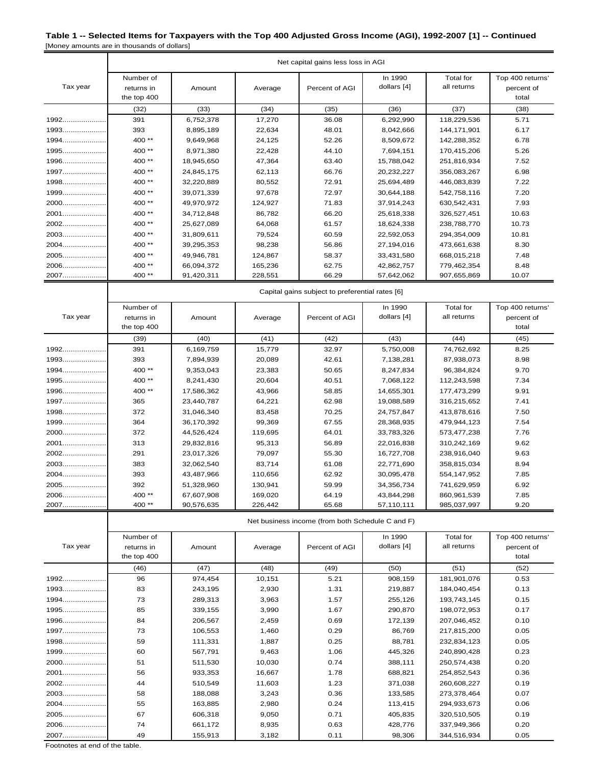|          | Net capital gains less loss in AGI |                                                 |         |                |             |                  |                  |  |  |
|----------|------------------------------------|-------------------------------------------------|---------|----------------|-------------|------------------|------------------|--|--|
|          | Number of                          |                                                 |         |                | In 1990     | <b>Total</b> for | Top 400 returns' |  |  |
| Tax year | returns in                         | Amount                                          | Average | Percent of AGI | dollars [4] | all returns      | percent of       |  |  |
|          | the top 400                        |                                                 |         |                |             |                  | total            |  |  |
|          | (32)                               | (33)                                            | (34)    | (35)           | (36)        | (37)             | (38)             |  |  |
| 1992     | 391                                | 6,752,378                                       | 17,270  | 36.08          | 6,292,990   | 118,229,536      | 5.71             |  |  |
| $1993$   | 393                                | 8,895,189                                       | 22,634  | 48.01          | 8,042,666   | 144, 171, 901    | 6.17             |  |  |
| 1994     | 400**                              | 9,649,968                                       | 24,125  | 52.26          | 8,509,672   | 142,288,352      | 6.78             |  |  |
| 1995     | 400**                              | 8,971,380                                       | 22,428  | 44.10          | 7,694,151   | 170,415,206      | 5.26             |  |  |
| 1996     | 400**                              | 18,945,650                                      | 47,364  | 63.40          | 15,788,042  | 251,816,934      | 7.52             |  |  |
| 1997     | 400 **                             | 24,845,175                                      | 62,113  | 66.76          | 20,232,227  | 356,083,267      | 6.98             |  |  |
| $1998$   | $400**$                            | 32,220,889                                      | 80,552  | 72.91          | 25,694,489  | 446,083,839      | 7.22             |  |  |
| 1999     | 400**                              | 39,071,339                                      | 97,678  | 72.97          | 30,644,188  | 542,758,116      | 7.20             |  |  |
| 2000     | 400**                              | 49,970,972                                      | 124,927 | 71.83          | 37,914,243  | 630,542,431      | 7.93             |  |  |
| 2001     | $400**$                            | 34,712,848                                      | 86,782  | 66.20          | 25,618,338  | 326,527,451      | 10.63            |  |  |
| 2002     | 400 **                             | 25,627,089                                      | 64,068  | 61.57          | 18,624,338  | 238,788,770      | 10.73            |  |  |
| 2003     | 400**                              | 31,809,611                                      | 79,524  | 60.59          | 22,592,053  | 294,354,009      | 10.81            |  |  |
| 2004     | 400**                              | 39,295,353                                      | 98,238  | 56.86          | 27,194,016  | 473,661,638      | 8.30             |  |  |
| 2005     | 400**                              | 49,946,781                                      | 124,867 | 58.37          | 33,431,580  | 668,015,218      | 7.48             |  |  |
| 2006     | 400**                              | 66,094,372                                      | 165,236 | 62.75          | 42,862,757  | 779,462,354      | 8.48             |  |  |
| 2007     | 400**                              | 91,420,311                                      | 228,551 | 66.29          | 57,642,062  | 907,655,869      | 10.07            |  |  |
|          |                                    | Capital gains subject to preferential rates [6] |         |                |             |                  |                  |  |  |
|          | Number of                          |                                                 |         |                | In 1990     | <b>Total</b> for | Top 400 returns' |  |  |
| Tax year | returns in                         | Amount                                          | Average | Percent of AGI | dollars [4] | all returns      | percent of       |  |  |
|          | the top 400                        |                                                 |         |                |             |                  | total            |  |  |
|          | (39)                               | (40)                                            | (41)    | (42)           | (43)        | (44)             | (45)             |  |  |
| 1992     | 391                                | 6,169,759                                       | 15,779  | 32.97          | 5,750,008   | 74,762,692       | 8.25             |  |  |
| $1993$   | 393                                | 7,894,939                                       | 20,089  | 42.61          | 7,138,281   | 87,938,073       | 8.98             |  |  |
| $1994$   | 400**                              | 9,353,043                                       | 23,383  | 50.65          | 8,247,834   | 96,384,824       | 9.70             |  |  |
| 1995     | 400**                              | 8,241,430                                       | 20,604  | 40.51          | 7,068,122   | 112,243,598      | 7.34             |  |  |
| 1996     | 400**                              | 17,586,362                                      | 43,966  | 58.85          | 14,655,301  | 177,473,299      | 9.91             |  |  |
| 1997     | 365                                | 23,440,787                                      | 64,221  | 62.98          | 19,088,589  | 316,215,652      | 7.41             |  |  |
| 1998     | 372                                | 31,046,340                                      | 83,458  | 70.25          | 24,757,847  | 413,878,616      | 7.50             |  |  |
| 1999     | 364                                | 36,170,392                                      | 99,369  | 67.55          | 28,368,935  | 479,944,123      | 7.54             |  |  |
| 2000     | 372                                | 44,526,424                                      | 119,695 | 64.01          | 33,783,326  | 573,477,238      | 7.76             |  |  |
| 2001     | 313                                | 29,832,816                                      | 95,313  | 56.89          | 22,016,838  | 310,242,169      | 9.62             |  |  |
| 2002     | 291                                | 23,017,326                                      | 79,097  | 55.30          | 16,727,708  | 238,916,040      | 9.63             |  |  |
| 2003     | 383                                | 32,062,540                                      | 83,714  | 61.08          | 22,771,690  | 358,815,034      | 8.94             |  |  |
| 2004     | 393                                | 43,487,966                                      | 110,656 | 62.92          | 30,095,478  | 554,147,952      | 7.85             |  |  |
| 2005     | 392                                | 51,328,960                                      | 130,941 | 59.99          | 34,356,734  | 741,629,959      | 6.92             |  |  |
| 2006     | 400**                              | 67,607,908                                      | 169,020 | 64.19          | 43,844,298  | 860,961,539      | 7.85             |  |  |
| 2007     | 400**                              | 90,576,635                                      | 226,442 | 65.68          | 57,110,111  | 985,037,997      | 9.20             |  |  |
|          |                                    |                                                 |         |                |             |                  |                  |  |  |

Net business income (from both Schedule C and F)

|          | Number of   |         |         |                | In 1990     | Total for   | Top 400 returns' |
|----------|-------------|---------|---------|----------------|-------------|-------------|------------------|
| Tax year | returns in  | Amount  | Average | Percent of AGI | dollars [4] | all returns | percent of       |
|          | the top 400 |         |         |                |             |             | total            |
|          | (46)        | (47)    | (48)    | (49)           | (50)        | (51)        | (52)             |
| 1992     | 96          | 974,454 | 10,151  | 5.21           | 908,159     | 181,901,076 | 0.53             |
| 1993     | 83          | 243,195 | 2,930   | 1.31           | 219,887     | 184,040,454 | 0.13             |
| 1994     | 73          | 289,313 | 3,963   | 1.57           | 255,126     | 193,743,145 | 0.15             |
| 1995     | 85          | 339,155 | 3,990   | 1.67           | 290,870     | 198,072,953 | 0.17             |
| 1996     | 84          | 206,567 | 2,459   | 0.69           | 172,139     | 207,046,452 | 0.10             |
| $1997$   | 73          | 106,553 | 1,460   | 0.29           | 86,769      | 217,815,200 | 0.05             |
| 1998     | 59          | 111,331 | 1,887   | 0.25           | 88,781      | 232,834,123 | 0.05             |
| 1999     | 60          | 567,791 | 9,463   | 1.06           | 445,326     | 240,890,428 | 0.23             |
| 2000     | 51          | 511,530 | 10,030  | 0.74           | 388,111     | 250,574,438 | 0.20             |
| 2001     | 56          | 933,353 | 16,667  | 1.78           | 688,821     | 254,852,543 | 0.36             |
| 2002     | 44          | 510,549 | 11,603  | 1.23           | 371,038     | 260,608,227 | 0.19             |
| 2003     | 58          | 188,088 | 3,243   | 0.36           | 133,585     | 273,378,464 | 0.07             |
| 2004     | 55          | 163,885 | 2,980   | 0.24           | 113,415     | 294,933,673 | 0.06             |
| 2005     | 67          | 606,318 | 9,050   | 0.71           | 405,835     | 320,510,505 | 0.19             |
| 2006     | 74          | 661,172 | 8,935   | 0.63           | 428,776     | 337,949,366 | 0.20             |
| 2007     | 49          | 155,913 | 3,182   | 0.11           | 98,306      | 344,516,934 | 0.05             |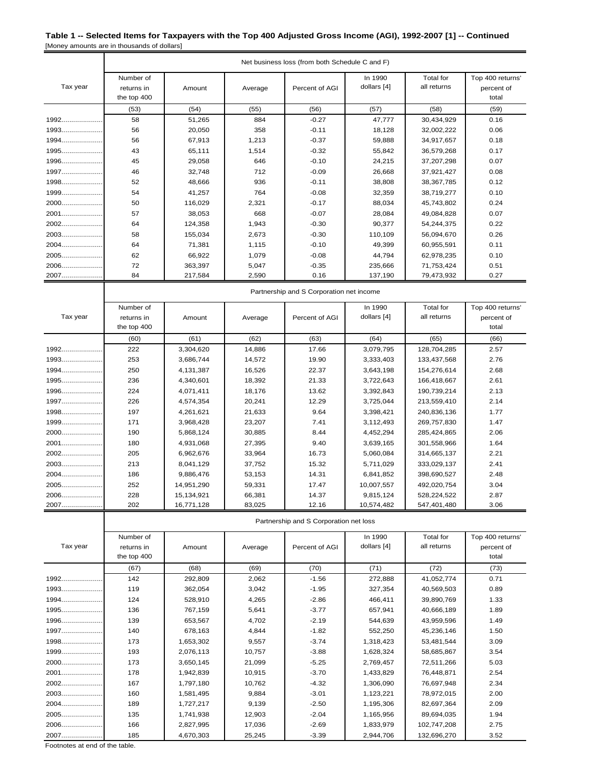|          |                                          | Net business loss (from both Schedule C and F) |         |                                        |                        |                                 |                                         |  |  |
|----------|------------------------------------------|------------------------------------------------|---------|----------------------------------------|------------------------|---------------------------------|-----------------------------------------|--|--|
| Tax year | Number of<br>returns in<br>the top 400   | Amount                                         | Average | Percent of AGI                         | In 1990<br>dollars [4] | <b>Total</b> for<br>all returns | Top 400 returns'<br>percent of<br>total |  |  |
|          | (53)                                     | (54)                                           | (55)    | (56)                                   | (57)                   | (58)                            | (59)                                    |  |  |
| 1992     | 58                                       | 51,265                                         | 884     | $-0.27$                                | 47,777                 | 30,434,929                      | 0.16                                    |  |  |
| $1993$   | 56                                       | 20,050                                         | 358     | $-0.11$                                | 18,128                 | 32,002,222                      | 0.06                                    |  |  |
| 1994     | 56                                       | 67,913                                         | 1,213   | $-0.37$                                | 59,888                 | 34,917,657                      | 0.18                                    |  |  |
| 1995     | 43                                       | 65,111                                         | 1,514   | $-0.32$                                | 55,842                 | 36,579,268                      | 0.17                                    |  |  |
| 1996     | 45                                       | 29,058                                         | 646     | $-0.10$                                | 24,215                 | 37,207,298                      | 0.07                                    |  |  |
| 1997     | 46                                       | 32,748                                         | 712     | $-0.09$                                | 26,668                 | 37,921,427                      | 0.08                                    |  |  |
| 1998     | 52                                       | 48,666                                         | 936     | $-0.11$                                | 38,808                 | 38, 367, 785                    | 0.12                                    |  |  |
| 1999     | 54                                       | 41,257                                         | 764     | $-0.08$                                | 32,359                 | 38,719,277                      | 0.10                                    |  |  |
| 2000     | 50                                       | 116,029                                        | 2,321   | $-0.17$                                | 88,034                 | 45,743,802                      | 0.24                                    |  |  |
| 2001     | 57                                       | 38,053                                         | 668     | $-0.07$                                | 28,084                 | 49,084,828                      | 0.07                                    |  |  |
| 2002     | 64                                       | 124,358                                        | 1,943   | $-0.30$                                | 90,377                 | 54,244,375                      | 0.22                                    |  |  |
| 2003     | 58                                       | 155,034                                        | 2,673   | $-0.30$                                | 110,109                | 56,094,670                      | 0.26                                    |  |  |
| 2004     | 64                                       | 71,381                                         | 1,115   | $-0.10$                                | 49,399                 | 60,955,591                      | 0.11                                    |  |  |
| 2005     | 62                                       | 66,922                                         | 1,079   | $-0.08$                                | 44,794                 | 62,978,235                      | 0.10                                    |  |  |
| 2006     | 72                                       | 363,397                                        | 5,047   | $-0.35$                                | 235,666                | 71,753,424                      | 0.51                                    |  |  |
| 2007     | 84                                       | 217,584                                        | 2,590   | 0.16                                   | 137,190                | 79,473,932                      | 0.27                                    |  |  |
|          | Partnership and S Corporation net income |                                                |         |                                        |                        |                                 |                                         |  |  |
|          | Number of                                |                                                |         |                                        | In 1990                | Total for                       | Top 400 returns'                        |  |  |
| Tax year | returns in                               | Amount                                         | Average | Percent of AGI                         | dollars [4]            | all returns                     | percent of                              |  |  |
|          | the top 400                              |                                                |         |                                        |                        |                                 | total                                   |  |  |
|          | (60)                                     | (61)                                           | (62)    | (63)                                   | (64)                   | (65)                            | (66)                                    |  |  |
| 1992     | 222                                      | 3,304,620                                      | 14,886  | 17.66                                  | 3,079,795              | 128,704,285                     | 2.57                                    |  |  |
| 1993     | 253                                      | 3,686,744                                      | 14,572  | 19.90                                  | 3,333,403              | 133,437,568                     | 2.76                                    |  |  |
| 1994     | 250                                      | 4,131,387                                      | 16,526  | 22.37                                  | 3,643,198              | 154,276,614                     | 2.68                                    |  |  |
| 1995     | 236                                      | 4,340,601                                      | 18,392  | 21.33                                  | 3,722,643              | 166,418,667                     | 2.61                                    |  |  |
| 1996     | 224                                      | 4,071,411                                      | 18,176  | 13.62                                  | 3,392,843              | 190,739,214                     | 2.13                                    |  |  |
| $1997$   | 226                                      | 4,574,354                                      | 20,241  | 12.29                                  | 3,725,044              | 213,559,410                     | 2.14                                    |  |  |
| 1998     | 197                                      | 4,261,621                                      | 21,633  | 9.64                                   | 3,398,421              | 240,836,136                     | 1.77                                    |  |  |
| 1999     | 171                                      | 3,968,428                                      | 23,207  | 7.41                                   | 3,112,493              | 269,757,830                     | 1.47                                    |  |  |
| 2000     | 190                                      | 5,868,124                                      | 30,885  | 8.44                                   | 4,452,294              | 285,424,865                     | 2.06                                    |  |  |
| 2001     | 180                                      | 4,931,068                                      | 27,395  | 9.40                                   | 3,639,165              | 301,558,966                     | 1.64                                    |  |  |
| 2002     | 205                                      | 6,962,676                                      | 33,964  | 16.73                                  | 5,060,084              | 314,665,137                     | 2.21                                    |  |  |
| 2003     | 213                                      | 8,041,129                                      | 37,752  | 15.32                                  | 5,711,029              | 333,029,137                     | 2.41                                    |  |  |
| 2004     | 186                                      | 9,886,476                                      | 53,153  | 14.31                                  | 6,841,852              | 398,690,527                     | 2.48                                    |  |  |
| 2005     | 252                                      | 14,951,290                                     | 59,331  | 17.47                                  | 10,007,557             | 492,020,754                     | 3.04                                    |  |  |
| 2006     | 228                                      | 15,134,921                                     | 66,381  | 14.37                                  | 9,815,124              | 528,224,522                     | 2.87                                    |  |  |
| 2007     | 202                                      | 16,771,128                                     | 83,025  | 12.16                                  | 10,574,482             | 547,401,480                     | 3.06                                    |  |  |
|          |                                          |                                                |         | Partnership and S Corporation net loss |                        |                                 |                                         |  |  |

| Tax year | Number of<br>returns in<br>the top 400 | Amount    | Average | Percent of AGI | In 1990<br>dollars [4] | Total for<br>all returns | Top 400 returns'<br>percent of<br>total |
|----------|----------------------------------------|-----------|---------|----------------|------------------------|--------------------------|-----------------------------------------|
|          | (67)                                   | (68)      | (69)    | (70)           | (71)                   | (72)                     | (73)                                    |
| 1992     | 142                                    | 292,809   | 2,062   | $-1.56$        | 272,888                | 41,052,774               | 0.71                                    |
| 1993     | 119                                    | 362,054   | 3,042   | $-1.95$        | 327,354                | 40,569,503               | 0.89                                    |
| $1994$   | 124                                    | 528,910   | 4,265   | $-2.86$        | 466,411                | 39,890,769               | 1.33                                    |
| 1995     | 136                                    | 767,159   | 5,641   | $-3.77$        | 657,941                | 40,666,189               | 1.89                                    |
| 1996     | 139                                    | 653,567   | 4,702   | $-2.19$        | 544,639                | 43,959,596               | 1.49                                    |
| 1997     | 140                                    | 678,163   | 4,844   | $-1.82$        | 552,250                | 45,236,146               | 1.50                                    |
| 1998     | 173                                    | 1,653,302 | 9,557   | $-3.74$        | 1,318,423              | 53,481,544               | 3.09                                    |
| 1999     | 193                                    | 2,076,113 | 10,757  | $-3.88$        | 1,628,324              | 58,685,867               | 3.54                                    |
| 2000     | 173                                    | 3,650,145 | 21,099  | $-5.25$        | 2,769,457              | 72,511,266               | 5.03                                    |
| 2001     | 178                                    | 1,942,839 | 10,915  | $-3.70$        | 1,433,829              | 76,448,871               | 2.54                                    |
| 2002     | 167                                    | 1,797,180 | 10,762  | $-4.32$        | 1,306,090              | 76,697,948               | 2.34                                    |
| 2003     | 160                                    | 1,581,495 | 9,884   | $-3.01$        | 1,123,221              | 78,972,015               | 2.00                                    |
| 2004     | 189                                    | 1,727,217 | 9,139   | $-2.50$        | 1,195,306              | 82,697,364               | 2.09                                    |
| 2005     | 135                                    | 1,741,938 | 12,903  | $-2.04$        | 1,165,956              | 89,694,035               | 1.94                                    |
| 2006     | 166                                    | 2,827,995 | 17,036  | $-2.69$        | 1,833,979              | 102,747,208              | 2.75                                    |
| 2007     | 185                                    | 4,670,303 | 25,245  | $-3.39$        | 2,944,706              | 132,696,270              | 3.52                                    |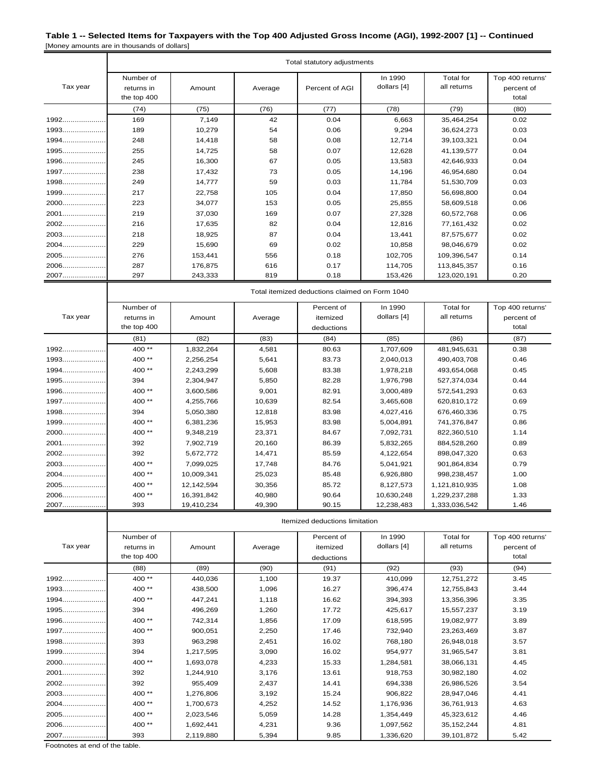|          | Total statutory adjustments            |                                                |         |                |                        |                                 |                                         |  |  |
|----------|----------------------------------------|------------------------------------------------|---------|----------------|------------------------|---------------------------------|-----------------------------------------|--|--|
| Tax year | Number of<br>returns in<br>the top 400 | Amount                                         | Average | Percent of AGI | In 1990<br>dollars [4] | <b>Total for</b><br>all returns | Top 400 returns'<br>percent of<br>total |  |  |
|          | (74)                                   | (75)                                           | (76)    | (77)           | (78)                   | (79)                            | (80)                                    |  |  |
| 1992     | 169                                    | 7,149                                          | 42      | 0.04           | 6,663                  | 35,464,254                      | 0.02                                    |  |  |
| 1993     | 189                                    | 10,279                                         | 54      | 0.06           | 9,294                  | 36,624,273                      | 0.03                                    |  |  |
| $1994$   | 248                                    | 14,418                                         | 58      | 0.08           | 12,714                 | 39,103,321                      | 0.04                                    |  |  |
| 1995     | 255                                    | 14,725                                         | 58      | 0.07           | 12,628                 | 41,139,577                      | 0.04                                    |  |  |
| 1996     | 245                                    | 16,300                                         | 67      | 0.05           | 13,583                 | 42,646,933                      | 0.04                                    |  |  |
| 1997     | 238                                    | 17,432                                         | 73      | 0.05           | 14,196                 | 46,954,680                      | 0.04                                    |  |  |
| 1998     | 249                                    | 14,777                                         | 59      | 0.03           | 11,784                 | 51,530,709                      | 0.03                                    |  |  |
| 1999     | 217                                    | 22,758                                         | 105     | 0.04           | 17,850                 | 56,698,800                      | 0.04                                    |  |  |
| 2000     | 223                                    | 34,077                                         | 153     | 0.05           | 25,855                 | 58,609,518                      | 0.06                                    |  |  |
| 2001     | 219                                    | 37,030                                         | 169     | 0.07           | 27,328                 | 60,572,768                      | 0.06                                    |  |  |
| 2002     | 216                                    | 17,635                                         | 82      | 0.04           | 12,816                 | 77,161,432                      | 0.02                                    |  |  |
| 2003     | 218                                    | 18,925                                         | 87      | 0.04           | 13,441                 | 87,575,677                      | 0.02                                    |  |  |
| 2004     | 229                                    | 15,690                                         | 69      | 0.02           | 10,858                 | 98,046,679                      | 0.02                                    |  |  |
| 2005     | 276                                    | 153,441                                        | 556     | 0.18           | 102,705                | 109,396,547                     | 0.14                                    |  |  |
| 2006     | 287                                    | 176,875                                        | 616     | 0.17           | 114,705                | 113,845,357                     | 0.16                                    |  |  |
| 2007     | 297                                    | 243,333                                        | 819     | 0.18           | 153,426                | 123,020,191                     | 0.20                                    |  |  |
|          |                                        | Total itemized deductions claimed on Form 1040 |         |                |                        |                                 |                                         |  |  |
|          | Number of                              |                                                |         | Percent of     | In 1990                | Total for                       | Top 400 returns'                        |  |  |
| Tax year | returns in                             | Amount                                         | Average | itemized       | dollars [4]            | all returns                     | percent of                              |  |  |
|          | the top 400                            |                                                |         | deductions     |                        |                                 | total                                   |  |  |
|          | (81)                                   | (82)                                           | (83)    | (84)           | (85)                   | (86)                            | (87)                                    |  |  |
| 1992     | 400**                                  | 1,832,264                                      | 4,581   | 80.63          | 1,707,609              | 481,945,631                     | 0.38                                    |  |  |
| 1993     | 400**                                  | 2,256,254                                      | 5,641   | 83.73          | 2,040,013              | 490,403,708                     | 0.46                                    |  |  |
| $1994$   | 400**                                  | 2,243,299                                      | 5,608   | 83.38          | 1,978,218              | 493,654,068                     | 0.45                                    |  |  |
| 1995     | 394                                    | 2,304,947                                      | 5,850   | 82.28          | 1,976,798              | 527,374,034                     | 0.44                                    |  |  |
| 1996     | 400**                                  | 3,600,586                                      | 9,001   | 82.91          | 3,000,489              | 572,541,293                     | 0.63                                    |  |  |
| 1997     | 400**                                  | 4,255,766                                      | 10,639  | 82.54          | 3,465,608              | 620,810,172                     | 0.69                                    |  |  |
| 1998     | 394                                    | 5,050,380                                      | 12,818  | 83.98          | 4,027,416              | 676,460,336                     | 0.75                                    |  |  |
| 1999     | 400**                                  | 6,381,236                                      | 15,953  | 83.98          | 5,004,891              | 741,376,847                     | 0.86                                    |  |  |
| 2000     | 400**                                  | 9,348,219                                      | 23,371  | 84.67          | 7,092,731              | 822,360,510                     | 1.14                                    |  |  |
| 2001     | 392                                    | 7,902,719                                      | 20,160  | 86.39          | 5,832,265              | 884,528,260                     | 0.89                                    |  |  |
| 2002     | 392                                    | 5,672,772                                      | 14,471  | 85.59          | 4,122,654              | 898,047,320                     | 0.63                                    |  |  |
| 2003     | 400**                                  | 7,099,025                                      | 17,748  | 84.76          | 5,041,921              | 901,864,834                     | 0.79                                    |  |  |
| 2004     | 400**                                  | 10,009,341                                     | 25,023  | 85.48          | 6,926,880              | 998,238,457                     | 1.00                                    |  |  |
| 2005     | 400**                                  | 12,142,594                                     | 30,356  | 85.72          | 8,127,573              | 1,121,810,935                   | 1.08                                    |  |  |

|          | Itemized deductions limitation         |           |         |                                      |                        |                          |                                         |  |  |  |
|----------|----------------------------------------|-----------|---------|--------------------------------------|------------------------|--------------------------|-----------------------------------------|--|--|--|
| Tax year | Number of<br>returns in<br>the top 400 | Amount    | Average | Percent of<br>itemized<br>deductions | In 1990<br>dollars [4] | Total for<br>all returns | Top 400 returns'<br>percent of<br>total |  |  |  |
|          | (88)                                   | (89)      | (90)    | (91)                                 | (92)                   | (93)                     | (94)                                    |  |  |  |
| 1992     | 400**                                  | 440,036   | 1,100   | 19.37                                | 410,099                | 12,751,272               | 3.45                                    |  |  |  |
| 1993     | 400**                                  | 438,500   | 1,096   | 16.27                                | 396,474                | 12,755,843               | 3.44                                    |  |  |  |
| 1994     | 400**                                  | 447,241   | 1,118   | 16.62                                | 394,393                | 13,356,396               | 3.35                                    |  |  |  |
| 1995     | 394                                    | 496,269   | 1,260   | 17.72                                | 425,617                | 15,557,237               | 3.19                                    |  |  |  |
| 1996     | 400**                                  | 742,314   | 1,856   | 17.09                                | 618,595                | 19,082,977               | 3.89                                    |  |  |  |
| 1997     | 400**                                  | 900,051   | 2,250   | 17.46                                | 732,940                | 23,263,469               | 3.87                                    |  |  |  |
| 1998     | 393                                    | 963,298   | 2,451   | 16.02                                | 768,180                | 26,948,018               | 3.57                                    |  |  |  |
| 1999     | 394                                    | 1,217,595 | 3,090   | 16.02                                | 954,977                | 31,965,547               | 3.81                                    |  |  |  |
| 2000     | 400 **                                 | 1,693,078 | 4,233   | 15.33                                | 1,284,581              | 38,066,131               | 4.45                                    |  |  |  |
| 2001     | 392                                    | 1,244,910 | 3,176   | 13.61                                | 918,753                | 30,982,180               | 4.02                                    |  |  |  |
| 2002     | 392                                    | 955.409   | 2,437   | 14.41                                | 694,338                | 26,986,526               | 3.54                                    |  |  |  |
| 2003     | 400**                                  | 1,276,806 | 3,192   | 15.24                                | 906,822                | 28,947,046               | 4.41                                    |  |  |  |
| 2004     | 400**                                  | 1,700,673 | 4,252   | 14.52                                | 1,176,936              | 36,761,913               | 4.63                                    |  |  |  |
| 2005     | 400 **                                 | 2,023,546 | 5,059   | 14.28                                | 1,354,449              | 45,323,612               | 4.46                                    |  |  |  |
| 2006     | 400**                                  | 1,692,441 | 4,231   | 9.36                                 | 1,097,562              | 35, 152, 244             | 4.81                                    |  |  |  |
| 2007     | 393                                    | 2,119,880 | 5,394   | 9.85                                 | 1,336,620              | 39,101,872               | 5.42                                    |  |  |  |

2006..................... 400 \*\* 16,391,842 40,980 90.64 10,630,248 1,229,237,288 1.33 2007..................... 393 19,410,234 49,390 90.15 12,238,483 1,333,036,542 1.46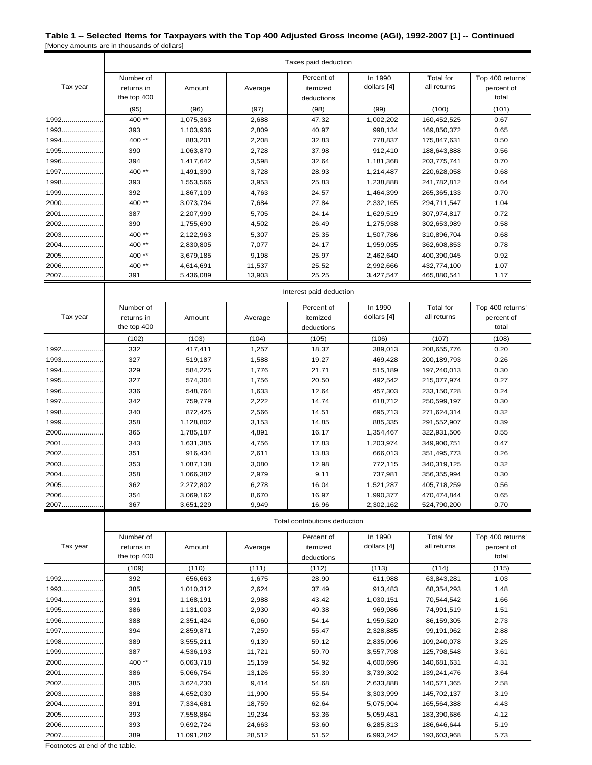|          | Taxes paid deduction    |           |         |                               |             |                  |                  |  |
|----------|-------------------------|-----------|---------|-------------------------------|-------------|------------------|------------------|--|
|          | Number of               |           |         | Percent of                    | In 1990     | <b>Total</b> for | Top 400 returns' |  |
| Tax year | returns in              | Amount    | Average | itemized                      | dollars [4] | all returns      | percent of       |  |
|          | the top 400             |           |         | deductions                    |             |                  | total            |  |
|          | (95)                    | (96)      | (97)    | (98)                          | (99)        | (100)            | (101)            |  |
| 1992     | 400**                   | 1,075,363 | 2,688   | 47.32                         | 1,002,202   | 160,452,525      | 0.67             |  |
| $1993$   | 393                     | 1,103,936 | 2,809   | 40.97                         | 998,134     | 169,850,372      | 0.65             |  |
| 1994     | 400**                   | 883,201   | 2,208   | 32.83                         | 778,837     | 175,847,631      | 0.50             |  |
| 1995     | 390                     | 1,063,870 | 2,728   | 37.98                         | 912,410     | 188,643,888      | 0.56             |  |
| 1996     | 394                     | 1,417,642 | 3,598   | 32.64                         | 1,181,368   | 203,775,741      | 0.70             |  |
| 1997     | 400**                   | 1,491,390 | 3,728   | 28.93                         | 1,214,487   | 220,628,058      | 0.68             |  |
| 1998     | 393                     | 1,553,566 | 3,953   | 25.83                         | 1,238,888   | 241,782,812      | 0.64             |  |
| 1999     | 392                     | 1,867,109 | 4,763   | 24.57                         | 1,464,399   | 265,365,133      | 0.70             |  |
| 2000     | 400**                   | 3,073,794 | 7,684   | 27.84                         | 2,332,165   | 294,711,547      | 1.04             |  |
| 2001     | 387                     | 2,207,999 | 5,705   | 24.14                         | 1,629,519   | 307,974,817      | 0.72             |  |
| 2002     | 390                     | 1,755,690 | 4,502   | 26.49                         | 1,275,938   | 302,653,989      | 0.58             |  |
| 2003     | 400**                   | 2,122,963 | 5,307   | 25.35                         | 1,507,786   | 310,896,704      | 0.68             |  |
| 2004     | 400**                   | 2,830,805 | 7,077   | 24.17                         | 1,959,035   | 362,608,853      | 0.78             |  |
| 2005     | 400**                   | 3,679,185 | 9,198   | 25.97                         | 2,462,640   | 400,390,045      | 0.92             |  |
| 2006     | 400**                   | 4,614,691 | 11,537  | 25.52                         | 2,992,666   | 432,774,100      | 1.07             |  |
| 2007     | 391                     | 5,436,089 | 13,903  | 25.25                         | 3,427,547   | 465,880,541      | 1.17             |  |
|          | Interest paid deduction |           |         |                               |             |                  |                  |  |
|          | Number of               |           |         | Percent of                    | In 1990     | <b>Total for</b> | Top 400 returns' |  |
| Tax year | returns in              | Amount    | Average | itemized                      | dollars [4] | all returns      | percent of       |  |
|          | the top 400             |           |         | deductions                    |             |                  | total            |  |
|          | (102)                   | (103)     | (104)   | (105)                         | (106)       | (107)            | (108)            |  |
| 1992     | 332                     | 417,411   | 1,257   | 18.37                         | 389,013     | 208,655,776      | 0.20             |  |
| 1993     | 327                     | 519,187   | 1,588   | 19.27                         | 469,428     | 200,189,793      | 0.26             |  |
| 1994     | 329                     | 584,225   | 1,776   | 21.71                         | 515,189     | 197,240,013      | 0.30             |  |
| 1995     | 327                     | 574,304   | 1,756   | 20.50                         | 492,542     | 215,077,974      | 0.27             |  |
| 1996     | 336                     | 548,764   | 1,633   | 12.64                         | 457,303     | 233, 150, 728    | 0.24             |  |
| 1997     | 342                     | 759,779   | 2,222   | 14.74                         | 618,712     | 250,599,197      | 0.30             |  |
| 1998     | 340                     | 872,425   | 2,566   | 14.51                         | 695,713     | 271,624,314      | 0.32             |  |
| 1999     | 358                     | 1,128,802 | 3,153   | 14.85                         | 885,335     | 291,552,907      | 0.39             |  |
| 2000     | 365                     | 1,785,187 | 4,891   | 16.17                         | 1,354,467   | 322,931,506      | 0.55             |  |
| 2001     | 343                     | 1,631,385 | 4,756   | 17.83                         | 1,203,974   | 349,900,751      | 0.47             |  |
| 2002     | 351                     | 916,434   | 2,611   | 13.83                         | 666,013     | 351,495,773      | 0.26             |  |
| 2003     | 353                     | 1,087,138 | 3,080   | 12.98                         | 772,115     | 340,319,125      | 0.32             |  |
| 2004     | 358                     | 1,066,382 | 2,979   | 9.11                          | 737,981     | 356,355,994      | 0.30             |  |
| 2005     | 362                     | 2,272,802 | 6,278   | 16.04                         | 1,521,287   | 405,718,259      | 0.56             |  |
| 2006     | 354                     | 3,069,162 | 8,670   | 16.97                         | 1,990,377   | 470,474,844      | 0.65             |  |
| 2007     | 367                     | 3,651,229 | 9,949   | 16.96                         | 2,302,162   | 524,790,200      | 0.70             |  |
|          |                         |           |         | Total contributions deduction |             |                  |                  |  |

| Tax year | Number of<br>returns in<br>the top 400 | Amount     | Average | Percent of<br>itemized<br>deductions | In 1990<br>dollars [4] | Total for<br>all returns | Top 400 returns'<br>percent of<br>total |
|----------|----------------------------------------|------------|---------|--------------------------------------|------------------------|--------------------------|-----------------------------------------|
|          | (109)                                  | (110)      | (111)   | (112)                                | (113)                  | (114)                    | (115)                                   |
| 1992     | 392                                    | 656,663    | 1,675   | 28.90                                | 611,988                | 63,843,281               | 1.03                                    |
|          | 385                                    | 1,010,312  | 2,624   | 37.49                                | 913,483                | 68,354,293               | 1.48                                    |
| $1994$   | 391                                    | 1,168,191  | 2,988   | 43.42                                | 1,030,151              | 70,544,542               | 1.66                                    |
| 1995     | 386                                    | 1,131,003  | 2,930   | 40.38                                | 969,986                | 74,991,519               | 1.51                                    |
| 1996     | 388                                    | 2,351,424  | 6,060   | 54.14                                | 1,959,520              | 86,159,305               | 2.73                                    |
| $1997$   | 394                                    | 2,859,871  | 7,259   | 55.47                                | 2,328,885              | 99,191,962               | 2.88                                    |
| 1998     | 389                                    | 3,555,211  | 9,139   | 59.12                                | 2,835,096              | 109,240,078              | 3.25                                    |
| $1999$   | 387                                    | 4,536,193  | 11,721  | 59.70                                | 3,557,798              | 125,798,548              | 3.61                                    |
| 2000     | 400**                                  | 6,063,718  | 15,159  | 54.92                                | 4,600,696              | 140,681,631              | 4.31                                    |
| 2001     | 386                                    | 5,066,754  | 13,126  | 55.39                                | 3,739,302              | 139,241,476              | 3.64                                    |
| 2002     | 385                                    | 3,624,230  | 9,414   | 54.68                                | 2,633,888              | 140,571,365              | 2.58                                    |
| 2003     | 388                                    | 4,652,030  | 11,990  | 55.54                                | 3,303,999              | 145,702,137              | 3.19                                    |
| 2004     | 391                                    | 7,334,681  | 18,759  | 62.64                                | 5,075,904              | 165,564,388              | 4.43                                    |
| 2005     | 393                                    | 7,558,864  | 19,234  | 53.36                                | 5,059,481              | 183,390,686              | 4.12                                    |
| 2006     | 393                                    | 9,692,724  | 24,663  | 53.60                                | 6,285,813              | 186,646,644              | 5.19                                    |
| 2007     | 389                                    | 11,091,282 | 28,512  | 51.52                                | 6,993,242              | 193,603,968              | 5.73                                    |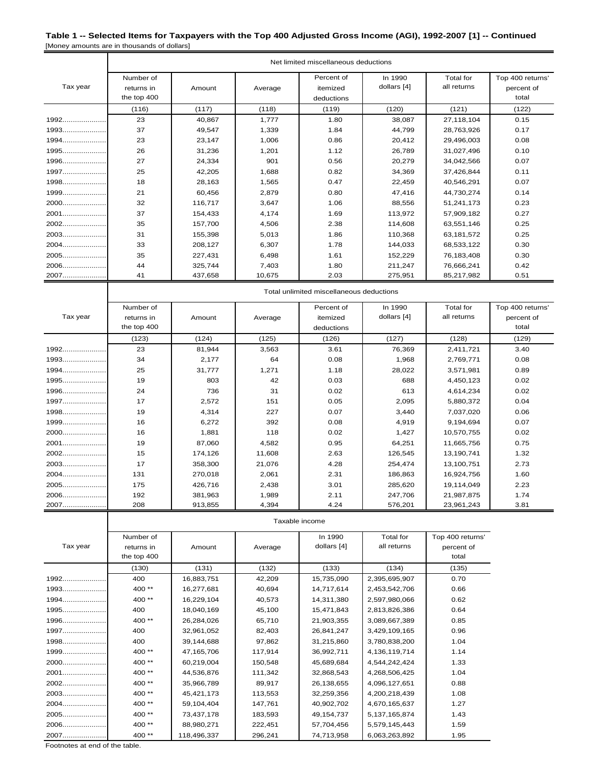|          | Net limited miscellaneous deductions   |         |         |                                      |                        |                                 |                                         |  |  |
|----------|----------------------------------------|---------|---------|--------------------------------------|------------------------|---------------------------------|-----------------------------------------|--|--|
| Tax year | Number of<br>returns in<br>the top 400 | Amount  | Average | Percent of<br>itemized<br>deductions | In 1990<br>dollars [4] | <b>Total</b> for<br>all returns | Top 400 returns'<br>percent of<br>total |  |  |
|          | (116)                                  | (117)   | (118)   | (119)                                | (120)                  | (121)                           | (122)                                   |  |  |
| 1992     | 23                                     | 40,867  | 1,777   | 1.80                                 | 38,087                 | 27,118,104                      | 0.15                                    |  |  |
| 1993     | 37                                     | 49,547  | 1,339   | 1.84                                 | 44,799                 | 28,763,926                      | 0.17                                    |  |  |
| $1994$   | 23                                     | 23,147  | 1,006   | 0.86                                 | 20,412                 | 29,496,003                      | 0.08                                    |  |  |
| 1995     | 26                                     | 31,236  | 1,201   | 1.12                                 | 26,789                 | 31,027,496                      | 0.10                                    |  |  |
| $1996$   | 27                                     | 24,334  | 901     | 0.56                                 | 20,279                 | 34,042,566                      | 0.07                                    |  |  |
| 1997     | 25                                     | 42,205  | 1,688   | 0.82                                 | 34,369                 | 37,426,844                      | 0.11                                    |  |  |
| 1998     | 18                                     | 28,163  | 1,565   | 0.47                                 | 22,459                 | 40,546,291                      | 0.07                                    |  |  |
| 1999     | 21                                     | 60,456  | 2,879   | 0.80                                 | 47,416                 | 44,730,274                      | 0.14                                    |  |  |
| 2000     | 32                                     | 116,717 | 3,647   | 1.06                                 | 88,556                 | 51,241,173                      | 0.23                                    |  |  |
| 2001     | 37                                     | 154,433 | 4,174   | 1.69                                 | 113.972                | 57,909,182                      | 0.27                                    |  |  |
| $2002$   | 35                                     | 157,700 | 4,506   | 2.38                                 | 114,608                | 63,551,146                      | 0.25                                    |  |  |
| $2003$   | 31                                     | 155,398 | 5,013   | 1.86                                 | 110,368                | 63,181,572                      | 0.25                                    |  |  |
| $2004$   | 33                                     | 208,127 | 6,307   | 1.78                                 | 144,033                | 68,533,122                      | 0.30                                    |  |  |
| 2005     | 35                                     | 227,431 | 6,498   | 1.61                                 | 152,229                | 76,183,408                      | 0.30                                    |  |  |
| 2006     | 44                                     | 325,744 | 7,403   | 1.80                                 | 211,247                | 76,666,241                      | 0.42                                    |  |  |
| 2007     | 41                                     | 437,658 | 10,675  | 2.03                                 | 275,951                | 85,217,982                      | 0.51                                    |  |  |

|          | Number of   |         |         | Percent of | In 1990     | Total for   | Top 400 returns' |
|----------|-------------|---------|---------|------------|-------------|-------------|------------------|
| Tax year | returns in  | Amount  | Average | itemized   | dollars [4] | all returns | percent of       |
|          | the top 400 |         |         | deductions |             |             | total            |
|          | (123)       | (124)   | (125)   | (126)      | (127)       | (128)       | (129)            |
| 1992     | 23          | 81,944  | 3,563   | 3.61       | 76,369      | 2,411,721   | 3.40             |
| $1993$   | 34          | 2,177   | 64      | 0.08       | 1,968       | 2,769,771   | 0.08             |
| 1994     | 25          | 31,777  | 1,271   | 1.18       | 28,022      | 3,571,981   | 0.89             |
| 1995     | 19          | 803     | 42      | 0.03       | 688         | 4,450,123   | 0.02             |
| 1996     | 24          | 736     | 31      | 0.02       | 613         | 4,614,234   | 0.02             |
| 1997     | 17          | 2,572   | 151     | 0.05       | 2,095       | 5,880,372   | 0.04             |
| 1998     | 19          | 4,314   | 227     | 0.07       | 3,440       | 7,037,020   | 0.06             |
| 1999     | 16          | 6,272   | 392     | 0.08       | 4,919       | 9,194,694   | 0.07             |
| 2000     | 16          | 1,881   | 118     | 0.02       | 1,427       | 10,570,755  | 0.02             |
| 2001     | 19          | 87,060  | 4,582   | 0.95       | 64,251      | 11,665,756  | 0.75             |
| 2002     | 15          | 174,126 | 11,608  | 2.63       | 126,545     | 13,190,741  | 1.32             |
| 2003     | 17          | 358,300 | 21,076  | 4.28       | 254,474     | 13,100,751  | 2.73             |
| 2004     | 131         | 270,018 | 2,061   | 2.31       | 186,863     | 16,924,756  | 1.60             |
| 2005     | 175         | 426,716 | 2,438   | 3.01       | 285,620     | 19,114,049  | 2.23             |
| 2006     | 192         | 381,963 | 1,989   | 2.11       | 247,706     | 21,987,875  | 1.74             |
| 2007     | 208         | 913,855 | 4,394   | 4.24       | 576,201     | 23,961,243  | 3.81             |

Total unlimited miscellaneous deductions

Taxable income

| Tax year | Number of<br>returns in<br>the top 400 | Amount      | Average | In 1990<br>dollars [4] | Total for<br>all returns | Top 400 returns'<br>percent of<br>total |
|----------|----------------------------------------|-------------|---------|------------------------|--------------------------|-----------------------------------------|
|          | (130)                                  | (131)       | (132)   | (133)                  | (134)                    | (135)                                   |
| 1992     | 400                                    | 16,883,751  | 42,209  | 15,735,090             | 2,395,695,907            | 0.70                                    |
| 1993     | 400**                                  | 16,277,681  | 40,694  | 14,717,614             | 2,453,542,706            | 0.66                                    |
| 1994     | 400**                                  | 16,229,104  | 40,573  | 14,311,380             | 2,597,980,066            | 0.62                                    |
| 1995     | 400                                    | 18,040,169  | 45,100  | 15,471,843             | 2,813,826,386            | 0.64                                    |
| 1996     | 400**                                  | 26,284,026  | 65,710  | 21,903,355             | 3,089,667,389            | 0.85                                    |
| 1997     | 400                                    | 32,961,052  | 82,403  | 26,841,247             | 3,429,109,165            | 0.96                                    |
| 1998     | 400                                    | 39,144,688  | 97,862  | 31,215,860             | 3,780,838,200            | 1.04                                    |
| $1999$   | $400**$                                | 47,165,706  | 117,914 | 36,992,711             | 4,136,119,714            | 1.14                                    |
| 2000     | 400 **                                 | 60,219,004  | 150,548 | 45,689,684             | 4,544,242,424            | 1.33                                    |
| 2001     | $400**$                                | 44,536,876  | 111,342 | 32,868,543             | 4,268,506,425            | 1.04                                    |
| 2002     | 400**                                  | 35,966,789  | 89,917  | 26,138,655             | 4,096,127,651            | 0.88                                    |
| $2003$   | $400**$                                | 45,421,173  | 113,553 | 32,259,356             | 4,200,218,439            | 1.08                                    |
| 2004     | 400**                                  | 59,104,404  | 147,761 | 40,902,702             | 4,670,165,637            | 1.27                                    |
| 2005     | $400**$                                | 73,437,178  | 183,593 | 49,154,737             | 5,137,165,874            | 1.43                                    |
| 2006     | 400**                                  | 88,980,271  | 222,451 | 57,704,456             | 5,579,145,443            | 1.59                                    |
| 2007     | 400**                                  | 118,496,337 | 296,241 | 74,713,958             | 6,063,263,892            | 1.95                                    |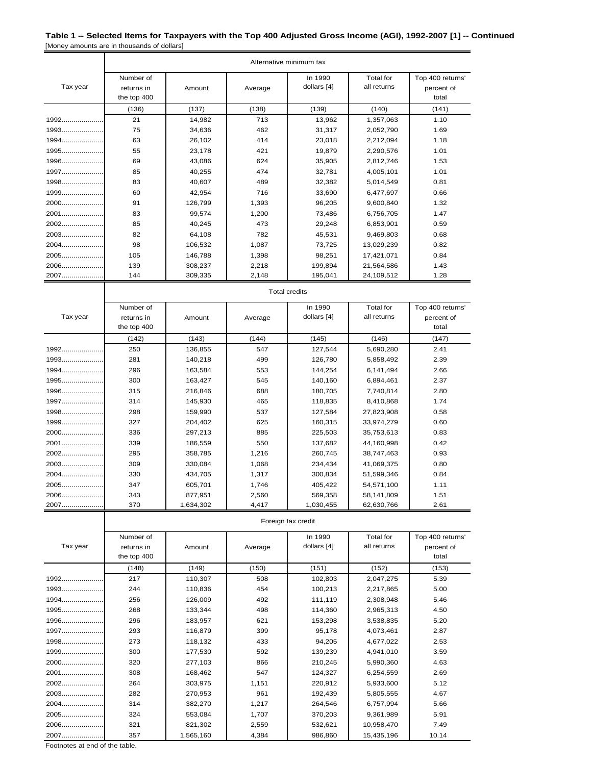|                  | Alternative minimum tax |                      |                |                    |                          |                  |  |  |  |
|------------------|-------------------------|----------------------|----------------|--------------------|--------------------------|------------------|--|--|--|
|                  | Number of               |                      |                | In 1990            | <b>Total</b> for         | Top 400 returns' |  |  |  |
| Tax year         | returns in              | Amount               | Average        | dollars [4]        | all returns              | percent of       |  |  |  |
|                  | the top 400             |                      |                |                    |                          | total            |  |  |  |
|                  | (136)                   | (137)                | (138)          | (139)              | (140)                    | (141)            |  |  |  |
| $1992$           | 21                      | 14,982               | 713            | 13,962             | 1,357,063                | 1.10             |  |  |  |
| 1993             | 75                      | 34,636               | 462            | 31,317             | 2,052,790                | 1.69             |  |  |  |
| 1994             | 63                      | 26,102               | 414            | 23,018             | 2,212,094                | 1.18             |  |  |  |
| 1995             | 55                      | 23,178               | 421            | 19,879             | 2,290,576                | 1.01             |  |  |  |
| 1996             | 69                      | 43,086               | 624            | 35,905             | 2,812,746                | 1.53             |  |  |  |
| $1997$<br>$1998$ | 85<br>83                | 40,255               | 474            | 32,781             | 4,005,101                | 1.01             |  |  |  |
| 1999             | 60                      | 40,607<br>42,954     | 489<br>716     | 32,382<br>33,690   | 5,014,549<br>6,477,697   | 0.81<br>0.66     |  |  |  |
| 2000             | 91                      | 126,799              | 1,393          | 96,205             | 9,600,840                | 1.32             |  |  |  |
| 2001             | 83                      | 99,574               | 1,200          | 73,486             | 6,756,705                | 1.47             |  |  |  |
| 2002             | 85                      | 40,245               | 473            | 29,248             | 6,853,901                | 0.59             |  |  |  |
| 2003             | 82                      | 64,108               | 782            | 45,531             | 9,469,803                | 0.68             |  |  |  |
| 2004             | 98                      | 106,532              | 1,087          | 73,725             | 13,029,239               | 0.82             |  |  |  |
| 2005             | 105                     | 146,788              | 1,398          | 98,251             | 17,421,071               | 0.84             |  |  |  |
| 2006             | 139                     | 308,237              | 2,218          | 199,894            | 21,564,586               | 1.43             |  |  |  |
| 2007             | 144                     | 309,335              | 2,148          | 195,041            | 24,109,512               | 1.28             |  |  |  |
|                  |                         | <b>Total credits</b> |                |                    |                          |                  |  |  |  |
|                  | Number of               |                      |                | In 1990            | <b>Total</b> for         | Top 400 returns' |  |  |  |
| Tax year         | returns in              | Amount               | Average        | dollars [4]        | all returns              | percent of       |  |  |  |
|                  | the top 400             |                      |                |                    |                          | total            |  |  |  |
|                  | (142)                   | (143)                | (144)          | (145)              | (146)                    | (147)            |  |  |  |
| 1992             | 250                     | 136,855              | 547            | 127,544            | 5,690,280                | 2.41             |  |  |  |
| 1993             | 281                     | 140,218              | 499            | 126,780            | 5,858,492                | 2.39             |  |  |  |
| 1994             | 296                     | 163,584              | 553            | 144,254            | 6,141,494                | 2.66             |  |  |  |
| 1995             | 300                     | 163,427              | 545            | 140,160            | 6,894,461                | 2.37             |  |  |  |
| 1996             | 315                     | 216,846              | 688            | 180,705            | 7,740,814                | 2.80             |  |  |  |
| 1997             | 314                     | 145,930              | 465            | 118,835            | 8,410,868                | 1.74             |  |  |  |
| 1998             | 298                     | 159,990              | 537            | 127,584            | 27,823,908               | 0.58             |  |  |  |
| 1999             | 327                     | 204,402              | 625            | 160,315            | 33,974,279               | 0.60             |  |  |  |
| 2000             | 336                     | 297,213              | 885            | 225,503            | 35,753,613               | 0.83             |  |  |  |
| 2001             | 339                     | 186,559              | 550            | 137,682            | 44,160,998               | 0.42             |  |  |  |
| 2002             | 295                     | 358,785              | 1,216          | 260,745            | 38,747,463               | 0.93             |  |  |  |
| 2003             | 309                     | 330,084              | 1,068          | 234,434            | 41,069,375               | 0.80             |  |  |  |
| 2004<br>2005.    | 330<br>347              | 434,705<br>605,701   | 1,317          | 300,834            | 51,599,346               | 0.84             |  |  |  |
| 2006             |                         |                      | 1,746          | 405,422<br>569,358 | 54,571,100               | 1.11             |  |  |  |
| 2007             | 343<br>370              | 877,951<br>1,634,302 | 2,560<br>4,417 | 1,030,455          | 58,141,809<br>62,630,766 | 1.51<br>2.61     |  |  |  |
|                  |                         |                      |                | Foreign tax credit |                          |                  |  |  |  |
|                  | Number of               |                      |                | In 1990            | <b>Total for</b>         | Top 400 returns' |  |  |  |
| Tax year         | returns in              | Amount               | Average        | dollars [4]        | all returns              | percent of       |  |  |  |
|                  | the top 400             |                      |                |                    |                          | total            |  |  |  |
|                  | (148)                   | (149)                | (150)          | (151)              | (152)                    | (153)            |  |  |  |
| 1992             | 217                     | 110,307              | 508            | 102,803            | 2,047,275                | 5.39             |  |  |  |
| 1993             | 244                     | 110,836              | 454            | 100,213            | 2,217,865                | 5.00             |  |  |  |
| 1994             | 256                     | 126,009              | 492            | 111,119            | 2,308,948                | 5.46             |  |  |  |
| 1995             | 268                     | 133,344              | 498            | 114,360            | 2,965,313                | 4.50             |  |  |  |
| 1996             | 296                     | 183,957              | 621            | 153,298            | 3,538,835                | 5.20             |  |  |  |
| 1997             | 293                     | 116,879              | 399            | 95,178             | 4,073,461                | 2.87             |  |  |  |
| 1998             | 273                     | 118,132              | 433            | 94,205             | 4,677,022                | 2.53             |  |  |  |
| 1999             | 300                     | 177,530              | 592            | 139,239            | 4,941,010                | 3.59             |  |  |  |
| 2000             | 320                     | 277,103              | 866            | 210,245            | 5,990,360                | 4.63             |  |  |  |
| 2001             | 308                     | 168,462              | 547            | 124,327            | 6,254,559                | 2.69             |  |  |  |

2002..................... 264 303,975 1,151 220,912 5,933,600 5.12 2003..................... 282 270,953 961 192,439 5,805,555 4.67 2004..................... 314 382,270 1,217 264,546 6,757,994 5.66 2005..................... 324 553,084 1,707 370,203 9,361,989 5.91 2006..................... 321 821,302 2,559 532,621 10,958,470 7.49

2007..................... 357 1,565,160 4,384 986,860 15,435,196 10.14 Footnotes at end of the table.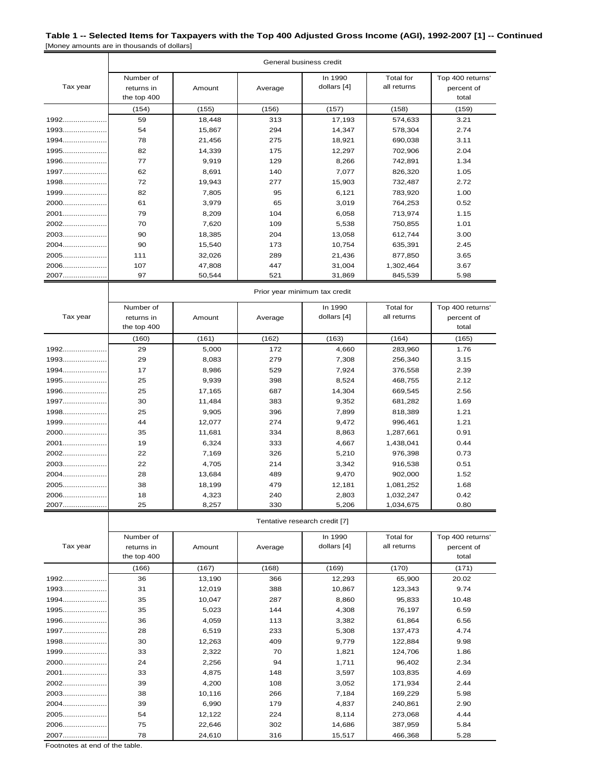| General business credit |                                        |        |         |                        |                          |                                         |  |
|-------------------------|----------------------------------------|--------|---------|------------------------|--------------------------|-----------------------------------------|--|
| Tax year                | Number of<br>returns in<br>the top 400 | Amount | Average | In 1990<br>dollars [4] | Total for<br>all returns | Top 400 returns'<br>percent of<br>total |  |
|                         | (154)                                  | (155)  | (156)   | (157)                  | (158)                    | (159)                                   |  |
| 1992                    | 59                                     | 18,448 | 313     | 17,193                 | 574,633                  | 3.21                                    |  |
| 1993                    | 54                                     | 15,867 | 294     | 14,347                 | 578,304                  | 2.74                                    |  |
| $1994$                  | 78                                     | 21,456 | 275     | 18,921                 | 690.038                  | 3.11                                    |  |
| 1995                    | 82                                     | 14,339 | 175     | 12,297                 | 702,906                  | 2.04                                    |  |
| 1996                    | 77                                     | 9,919  | 129     | 8,266                  | 742,891                  | 1.34                                    |  |
| 1997                    | 62                                     | 8,691  | 140     | 7,077                  | 826,320                  | 1.05                                    |  |
| 1998                    | 72                                     | 19,943 | 277     | 15,903                 | 732,487                  | 2.72                                    |  |
| 1999                    | 82                                     | 7,805  | 95      | 6,121                  | 783,920                  | 1.00                                    |  |
| 2000                    | 61                                     | 3,979  | 65      | 3,019                  | 764,253                  | 0.52                                    |  |
| 2001                    | 79                                     | 8,209  | 104     | 6,058                  | 713,974                  | 1.15                                    |  |
| $2002$                  | 70                                     | 7,620  | 109     | 5,538                  | 750,855                  | 1.01                                    |  |
| 2003                    | 90                                     | 18,385 | 204     | 13,058                 | 612,744                  | 3.00                                    |  |
| $2004$                  | 90                                     | 15,540 | 173     | 10,754                 | 635,391                  | 2.45                                    |  |
| 2005                    | 111                                    | 32,026 | 289     | 21,436                 | 877,850                  | 3.65                                    |  |
| 2006                    | 107                                    | 47,808 | 447     | 31,004                 | 1,302,464                | 3.67                                    |  |
| 2007                    | 97                                     | 50,544 | 521     | 31,869                 | 845,539                  | 5.98                                    |  |

|          | Prior year minimum tax credit          |        |         |                        |                          |                                         |  |  |
|----------|----------------------------------------|--------|---------|------------------------|--------------------------|-----------------------------------------|--|--|
| Tax year | Number of<br>returns in<br>the top 400 | Amount | Average | In 1990<br>dollars [4] | Total for<br>all returns | Top 400 returns'<br>percent of<br>total |  |  |
|          | (160)                                  | (161)  | (162)   | (163)                  | (164)                    | (165)                                   |  |  |
| 1992     | 29                                     | 5,000  | 172     | 4,660                  | 283,960                  | 1.76                                    |  |  |
| $1993$   | 29                                     | 8,083  | 279     | 7,308                  | 256,340                  | 3.15                                    |  |  |
| $1994$   | 17                                     | 8,986  | 529     | 7,924                  | 376,558                  | 2.39                                    |  |  |
| 1995     | 25                                     | 9,939  | 398     | 8,524                  | 468,755                  | 2.12                                    |  |  |
| 1996     | 25                                     | 17,165 | 687     | 14,304                 | 669,545                  | 2.56                                    |  |  |
| $1997$   | 30                                     | 11.484 | 383     | 9,352                  | 681,282                  | 1.69                                    |  |  |
| 1998     | 25                                     | 9,905  | 396     | 7,899                  | 818,389                  | 1.21                                    |  |  |
| 1999     | 44                                     | 12,077 | 274     | 9,472                  | 996,461                  | 1.21                                    |  |  |
| 2000     | 35                                     | 11,681 | 334     | 8,863                  | 1,287,661                | 0.91                                    |  |  |
| 2001     | 19                                     | 6,324  | 333     | 4,667                  | 1,438,041                | 0.44                                    |  |  |
| 2002     | 22                                     | 7,169  | 326     | 5,210                  | 976,398                  | 0.73                                    |  |  |
| 2003     | 22                                     | 4,705  | 214     | 3,342                  | 916,538                  | 0.51                                    |  |  |
| $2004$   | 28                                     | 13,684 | 489     | 9,470                  | 902,000                  | 1.52                                    |  |  |
| 2005     | 38                                     | 18,199 | 479     | 12,181                 | 1,081,252                | 1.68                                    |  |  |
| 2006     | 18                                     | 4,323  | 240     | 2,803                  | 1,032,247                | 0.42                                    |  |  |
| 2007     | 25                                     | 8,257  | 330     | 5,206                  | 1,034,675                | 0.80                                    |  |  |

Tentative research credit [7]

| Tax year | Number of<br>returns in<br>the top 400 | Amount | Average | In 1990<br>dollars [4] | Total for<br>all returns | Top 400 returns'<br>percent of<br>total |
|----------|----------------------------------------|--------|---------|------------------------|--------------------------|-----------------------------------------|
|          | (166)                                  | (167)  | (168)   | (169)                  | (170)                    | (171)                                   |
| 1992     | 36                                     | 13,190 | 366     | 12,293                 | 65,900                   | 20.02                                   |
| 1993     | 31                                     | 12,019 | 388     | 10,867                 | 123,343                  | 9.74                                    |
| 1994     | 35                                     | 10,047 | 287     | 8,860                  | 95,833                   | 10.48                                   |
| 1995     | 35                                     | 5,023  | 144     | 4,308                  | 76,197                   | 6.59                                    |
| 1996     | 36                                     | 4,059  | 113     | 3,382                  | 61,864                   | 6.56                                    |
| 1997     | 28                                     | 6,519  | 233     | 5,308                  | 137,473                  | 4.74                                    |
| 1998     | 30                                     | 12,263 | 409     | 9,779                  | 122,884                  | 9.98                                    |
| 1999     | 33                                     | 2,322  | 70      | 1,821                  | 124,706                  | 1.86                                    |
| 2000     | 24                                     | 2,256  | 94      | 1,711                  | 96,402                   | 2.34                                    |
| 2001     | 33                                     | 4,875  | 148     | 3,597                  | 103,835                  | 4.69                                    |
| 2002     | 39                                     | 4,200  | 108     | 3,052                  | 171,934                  | 2.44                                    |
| 2003     | 38                                     | 10,116 | 266     | 7,184                  | 169,229                  | 5.98                                    |
| 2004     | 39                                     | 6,990  | 179     | 4,837                  | 240,861                  | 2.90                                    |
| 2005     | 54                                     | 12,122 | 224     | 8,114                  | 273,068                  | 4.44                                    |
| 2006     | 75                                     | 22,646 | 302     | 14,686                 | 387,959                  | 5.84                                    |
| 2007     | 78                                     | 24,610 | 316     | 15,517                 | 466,368                  | 5.28                                    |

Footnotes at end of the table.

 $\overline{\phantom{a}}$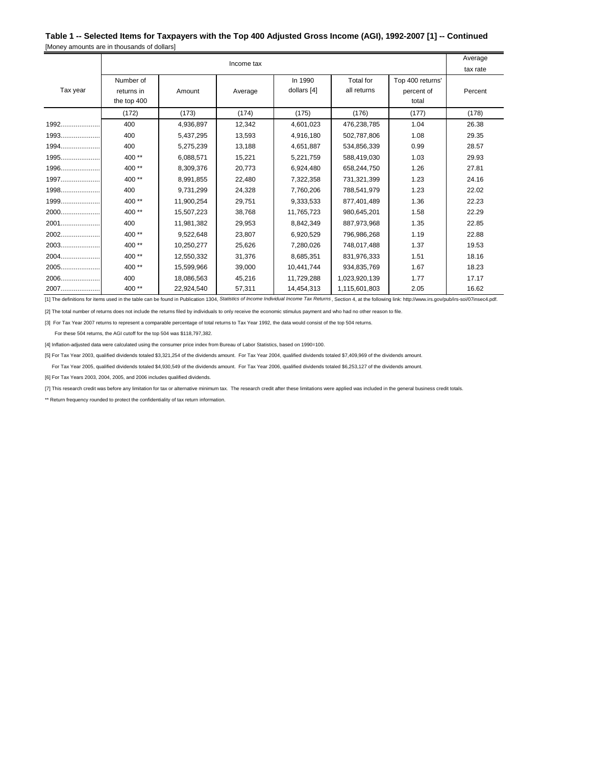| Income tax |             |            |         |             |               |                  |         |  |
|------------|-------------|------------|---------|-------------|---------------|------------------|---------|--|
|            |             |            |         |             |               |                  |         |  |
|            | Number of   |            |         | In 1990     | Total for     | Top 400 returns' |         |  |
| Tax year   | returns in  | Amount     | Average | dollars [4] | all returns   | percent of       | Percent |  |
|            | the top 400 |            |         |             |               | total            |         |  |
|            | (172)       | (173)      | (174)   | (175)       | (176)         | (177)            | (178)   |  |
|            | 400         | 4,936,897  | 12,342  | 4,601,023   | 476,238,785   | 1.04             | 26.38   |  |
| $1993$     | 400         | 5,437,295  | 13,593  | 4,916,180   | 502,787,806   | 1.08             | 29.35   |  |
| 1994       | 400         | 5,275,239  | 13.188  | 4.651.887   | 534.856.339   | 0.99             | 28.57   |  |
|            | 400**       | 6,088,571  | 15,221  | 5,221,759   | 588,419,030   | 1.03             | 29.93   |  |
| 1996       | 400**       | 8,309,376  | 20,773  | 6,924,480   | 658,244,750   | 1.26             | 27.81   |  |
|            | 400**       | 8,991,855  | 22.480  | 7,322,358   | 731.321.399   | 1.23             | 24.16   |  |
| 1998       | 400         | 9,731,299  | 24,328  | 7,760,206   | 788,541,979   | 1.23             | 22.02   |  |
| 1999       | 400**       | 11,900,254 | 29,751  | 9,333,533   | 877,401,489   | 1.36             | 22.23   |  |
|            | 400**       | 15,507,223 | 38.768  | 11,765,723  | 980.645.201   | 1.58             | 22.29   |  |
| 2001       | 400         | 11,981,382 | 29,953  | 8,842,349   | 887,973,968   | 1.35             | 22.85   |  |
| 2002       | 400**       | 9,522,648  | 23,807  | 6,920,529   | 796,986,268   | 1.19             | 22.88   |  |
| 2003       | $400**$     | 10,250,277 | 25,626  | 7,280,026   | 748,017,488   | 1.37             | 19.53   |  |
|            | $400**$     | 12,550,332 | 31,376  | 8,685,351   | 831,976,333   | 1.51             | 18.16   |  |
| 2005       | 400**       | 15,599,966 | 39,000  | 10,441,744  | 934,835,769   | 1.67             | 18.23   |  |
|            | 400         | 18,086,563 | 45,216  | 11,729,288  | 1,023,920,139 | 1.77             | 17.17   |  |
| 2007       | 400**       | 22,924,540 | 57,311  | 14,454,313  | 1,115,601,803 | 2.05             | 16.62   |  |

[1] The definitions for items used in the table can be found in Publication 1304, *Statistics of Income Individual Income Tax Returns* , Section 4, at the following link: http://www.irs.gov/pub/irs-soi/07insec4.pdf.

[2] The total number of returns does not include the returns filed by individuals to only receive the economic stimulus payment and who had no other reason to file.

[3] For Tax Year 2007 returns to represent a comparable percentage of total returns to Tax Year 1992, the data would consist of the top 504 returns.

For these 504 returns, the AGI cutoff for the top 504 was \$118,797,382.

[4] Inflation-adjusted data were calculated using the consumer price index from Bureau of Labor Statistics, based on 1990=100.

[5] For Tax Year 2003, qualified dividends totaled \$3,321,254 of the dividends amount. For Tax Year 2004, qualified dividends totaled \$7,409,969 of the dividends amount.

For Tax Year 2005, qualified dividends totaled \$4,930,549 of the dividends amount. For Tax Year 2006, qualified dividends totaled \$6,253,127 of the dividends amount.

[6] For Tax Years 2003, 2004, 2005, and 2006 includes qualified dividends.

[7] This research credit was before any limitation for tax or alternative minimum tax. The research credit after these limitations were applied was included in the general business credit totals.

\*\* Return frequency rounded to protect the confidentiality of tax return information.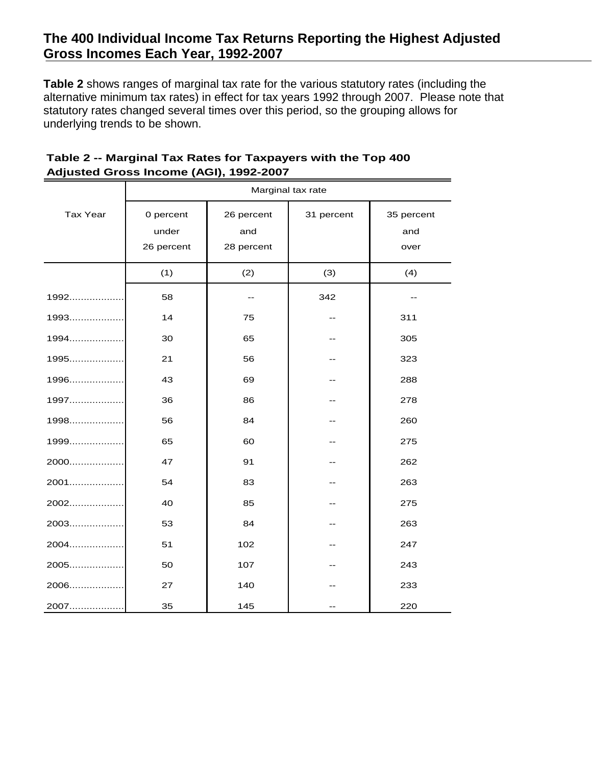**Table 2** shows ranges of marginal tax rate for the various statutory rates (including the alternative minimum tax rates) in effect for tax years 1992 through 2007. Please note that statutory rates changed several times over this period, so the grouping allows for underlying trends to be shown.

|                 | Marginal tax rate                |     |            |                           |  |  |  |  |
|-----------------|----------------------------------|-----|------------|---------------------------|--|--|--|--|
| <b>Tax Year</b> | 0 percent<br>under<br>26 percent |     | 31 percent | 35 percent<br>and<br>over |  |  |  |  |
|                 | (1)                              | (2) | (3)        | (4)                       |  |  |  |  |
| 1992            | 58                               | $-$ | 342        |                           |  |  |  |  |
| 1993            | 14                               | 75  | --         | 311                       |  |  |  |  |
| 1994            | 30                               | 65  | --         | 305                       |  |  |  |  |
| 1995            | 21                               | 56  | --         | 323                       |  |  |  |  |
| 1996            | 43                               | 69  |            | 288                       |  |  |  |  |
| 1997            | 36                               | 86  |            | 278                       |  |  |  |  |
| 1998            | 56                               | 84  | --         | 260                       |  |  |  |  |
| 1999            | 65                               | 60  | --         | 275                       |  |  |  |  |
| 2000            | 47                               | 91  | --         | 262                       |  |  |  |  |
| 2001            | 54                               | 83  |            | 263                       |  |  |  |  |
| 2002            | 40                               | 85  |            | 275                       |  |  |  |  |
| 2003            | 53                               | 84  |            | 263                       |  |  |  |  |
| 2004            | 51                               | 102 |            | 247                       |  |  |  |  |
| 2005            | 50                               | 107 |            | 243                       |  |  |  |  |
| 2006            | 27                               | 140 |            | 233                       |  |  |  |  |
| 2007            | 35                               | 145 |            | 220                       |  |  |  |  |

## **Table 2 -- Marginal Tax Rates for Taxpayers with the Top 400 Adjusted Gross Income (AGI), 1992-2007**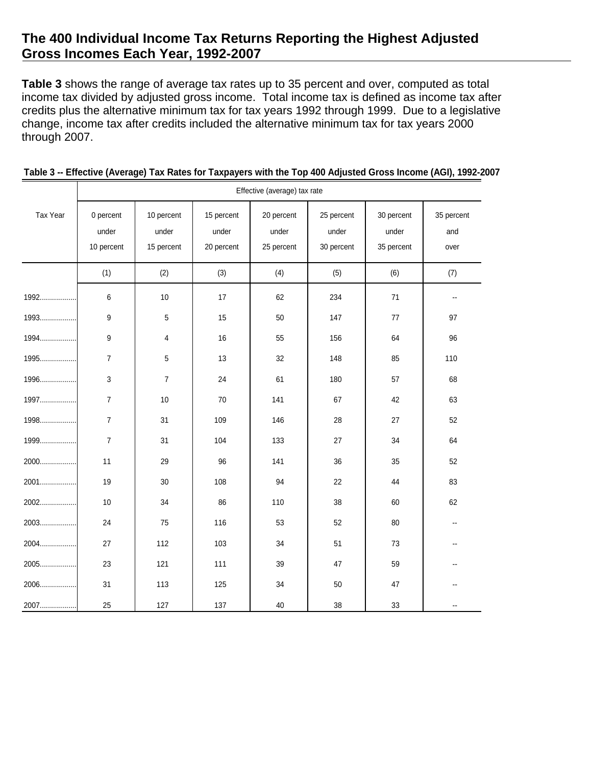**Table 3** shows the range of average tax rates up to 35 percent and over, computed as total income tax divided by adjusted gross income. Total income tax is defined as income tax after credits plus the alternative minimum tax for tax years 1992 through 1999. Due to a legislative change, income tax after credits included the alternative minimum tax for tax years 2000 through 2007.

|          | Effective (average) tax rate |                         |                     |                     |                     |                     |                          |  |  |
|----------|------------------------------|-------------------------|---------------------|---------------------|---------------------|---------------------|--------------------------|--|--|
| Tax Year | 0 percent<br>under           | 10 percent<br>under     | 15 percent<br>under | 20 percent<br>under | 25 percent<br>under | 30 percent<br>under | 35 percent<br>and        |  |  |
|          | 10 percent                   | 15 percent              | 20 percent          | 25 percent          | 30 percent          | 35 percent          | over                     |  |  |
|          | (1)                          | (2)                     | (3)                 | (4)                 | (5)                 | (6)                 | (7)                      |  |  |
| 1992     | 6                            | $10$                    | 17                  | 62                  | 234                 | $71$                | $\overline{\phantom{a}}$ |  |  |
| 1993     | 9                            | 5                       | 15                  | 50                  | 147                 | 77                  | 97                       |  |  |
| 1994     | 9                            | $\overline{\mathbf{4}}$ | 16                  | 55                  | 156                 | 64                  | 96                       |  |  |
| 1995     | $\overline{7}$               | 5                       | 13                  | 32                  | 148                 | 85                  | 110                      |  |  |
| 1996     | 3                            | $\overline{7}$          | 24                  | 61                  | 180                 | 57                  | 68                       |  |  |
| 1997     | $\boldsymbol{7}$             | 10                      | 70                  | 141                 | 67                  | 42                  | 63                       |  |  |
| 1998     | $\overline{7}$               | 31                      | 109                 | 146                 | 28                  | 27                  | 52                       |  |  |
| 1999     | $\overline{7}$               | 31                      | 104                 | 133                 | 27                  | 34                  | 64                       |  |  |
| 2000     | 11                           | 29                      | 96                  | 141                 | 36                  | 35                  | 52                       |  |  |
| 2001     | 19                           | 30                      | 108                 | 94                  | 22                  | 44                  | 83                       |  |  |
| 2002     | $10$                         | 34                      | 86                  | 110                 | 38                  | 60                  | 62                       |  |  |
| 2003     | 24                           | 75                      | 116                 | 53                  | 52                  | 80                  | $-$                      |  |  |
| 2004     | 27                           | 112                     | 103                 | 34                  | 51                  | 73                  |                          |  |  |
| 2005     | 23                           | 121                     | 111                 | 39                  | 47                  | 59                  |                          |  |  |
| 2006     | 31                           | 113                     | 125                 | 34                  | 50                  | 47                  |                          |  |  |
| 2007     | 25                           | 127                     | 137                 | 40                  | 38                  | 33                  |                          |  |  |

|  |  |  |  | Table 3 -- Effective (Average) Tax Rates for Taxpayers with the Top 400 Adjusted Gross Income (AGI), 1992-2007 |
|--|--|--|--|----------------------------------------------------------------------------------------------------------------|
|--|--|--|--|----------------------------------------------------------------------------------------------------------------|